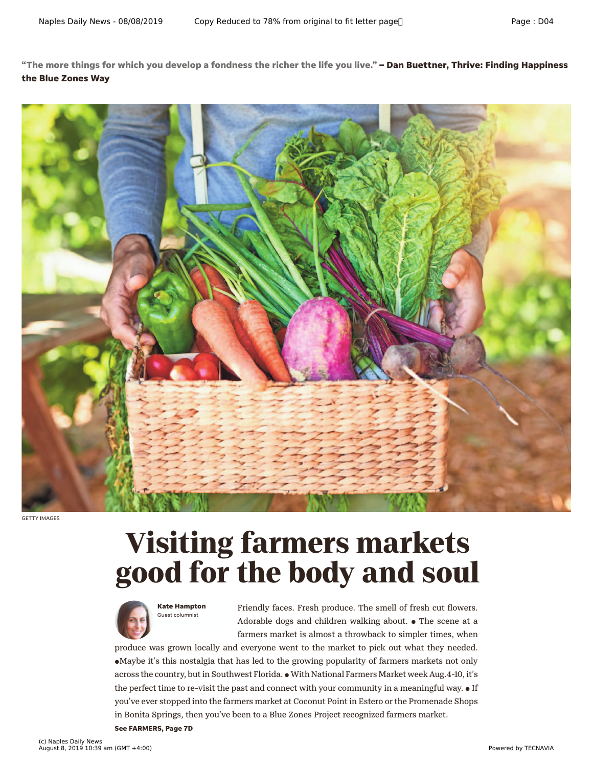**"The more things for which you develop a fondness the richer the life you live." – Dan Buettner, Thrive: Finding Happiness the Blue Zones Way**



GETTY IMAGES

## **Visiting farmers markets good for the body and soul**



Friendly faces. Fresh produce. The smell of fresh cut flowers. Adorable dogs and children walking about.  $\bullet$  The scene at a farmers market is almost a throwback to simpler times, when

produce was grown locally and everyone went to the market to pick out what they needed. • Maybe it's this nostalgia that has led to the growing popularity of farmers markets not only across the country, but in Southwest Florida.  $\bullet$  With National Farmers Market week Aug.4-10, it's the perfect time to re-visit the past and connect with your community in a meaningful way.  $\bullet$  If you've ever stopped into the farmers market at Coconut Point in Estero or the Promenade Shops in Bonita Springs, then you've been to a Blue Zones Project recognized farmers market.

**See FARMERS, Page 7D**